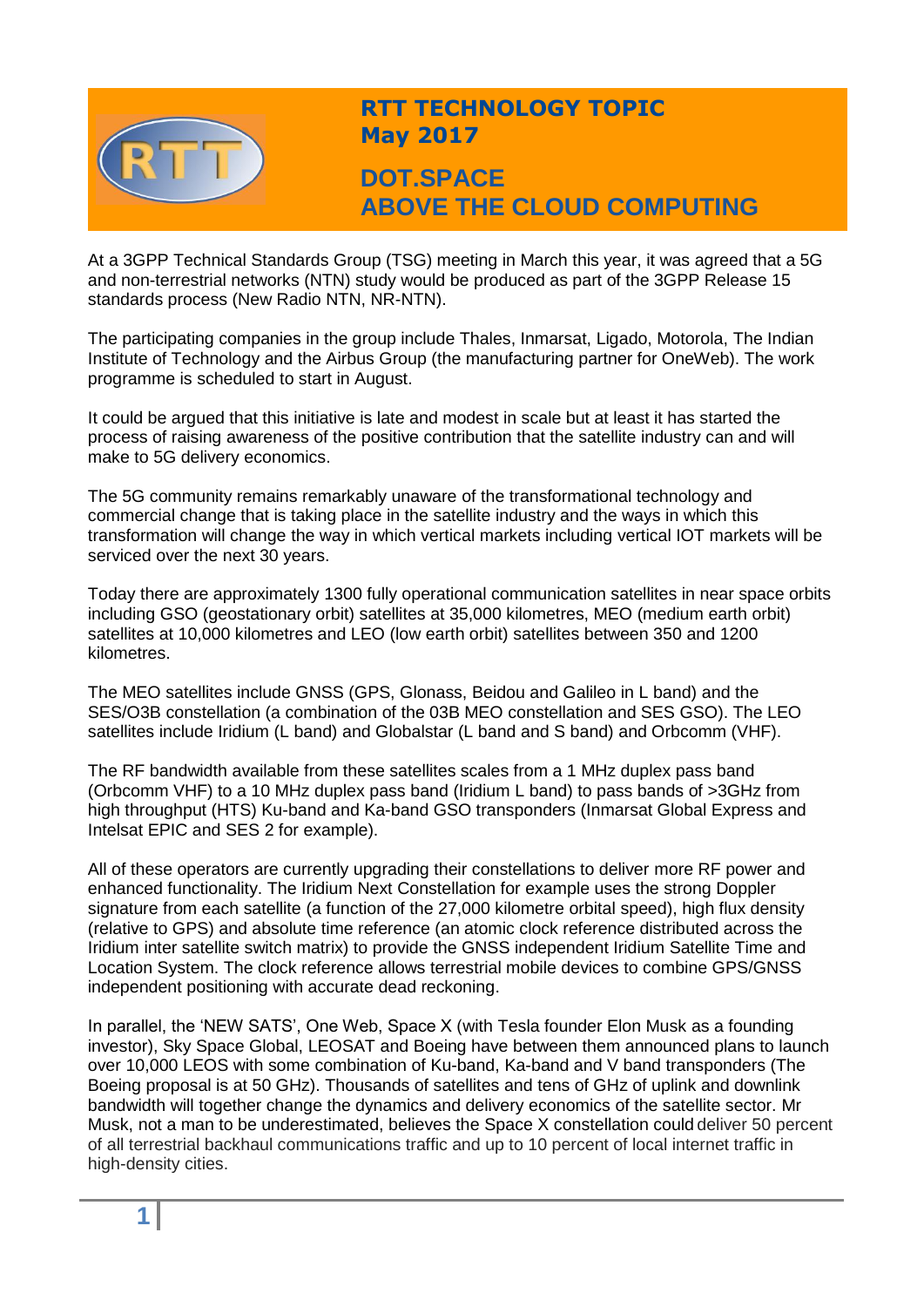

# **RTT TECHNOLOGY TOPIC May 2017**

# **DOT.SPACE ABOVE THE CLOUD COMPUTING**

At a 3GPP Technical Standards Group (TSG) meeting in March this year, it was agreed that a 5G and non-terrestrial networks (NTN) study would be produced as part of the 3GPP Release 15 standards process (New Radio NTN, NR-NTN).

The participating companies in the group include Thales, Inmarsat, Ligado, Motorola, The Indian Institute of Technology and the Airbus Group (the manufacturing partner for OneWeb). The work programme is scheduled to start in August.

It could be argued that this initiative is late and modest in scale but at least it has started the process of raising awareness of the positive contribution that the satellite industry can and will make to 5G delivery economics.

The 5G community remains remarkably unaware of the transformational technology and commercial change that is taking place in the satellite industry and the ways in which this transformation will change the way in which vertical markets including vertical IOT markets will be serviced over the next 30 years.

Today there are approximately 1300 fully operational communication satellites in near space orbits including GSO (geostationary orbit) satellites at 35,000 kilometres, MEO (medium earth orbit) satellites at 10,000 kilometres and LEO (low earth orbit) satellites between 350 and 1200 kilometres.

The MEO satellites include GNSS (GPS, Glonass, Beidou and Galileo in L band) and the SES/O3B constellation (a combination of the 03B MEO constellation and SES GSO). The LEO satellites include Iridium (L band) and Globalstar (L band and S band) and Orbcomm (VHF).

The RF bandwidth available from these satellites scales from a 1 MHz duplex pass band (Orbcomm VHF) to a 10 MHz duplex pass band (Iridium L band) to pass bands of >3GHz from high throughput (HTS) Ku-band and Ka-band GSO transponders (Inmarsat Global Express and Intelsat EPIC and SES 2 for example).

All of these operators are currently upgrading their constellations to deliver more RF power and enhanced functionality. The Iridium Next Constellation for example uses the strong Doppler signature from each satellite (a function of the 27,000 kilometre orbital speed), high flux density (relative to GPS) and absolute time reference (an atomic clock reference distributed across the Iridium inter satellite switch matrix) to provide the GNSS independent Iridium Satellite Time and Location System. The clock reference allows terrestrial mobile devices to combine GPS/GNSS independent positioning with accurate dead reckoning.

In parallel, the 'NEW SATS', One Web, Space X (with Tesla founder Elon Musk as a founding investor), Sky Space Global, LEOSAT and Boeing have between them announced plans to launch over 10,000 LEOS with some combination of Ku-band, Ka-band and V band transponders (The Boeing proposal is at 50 GHz). Thousands of satellites and tens of GHz of uplink and downlink bandwidth will together change the dynamics and delivery economics of the satellite sector. Mr Musk, not a man to be underestimated, believes the Space X constellation could deliver 50 percent of all terrestrial backhaul communications traffic and up to 10 percent of local internet traffic in high-density cities.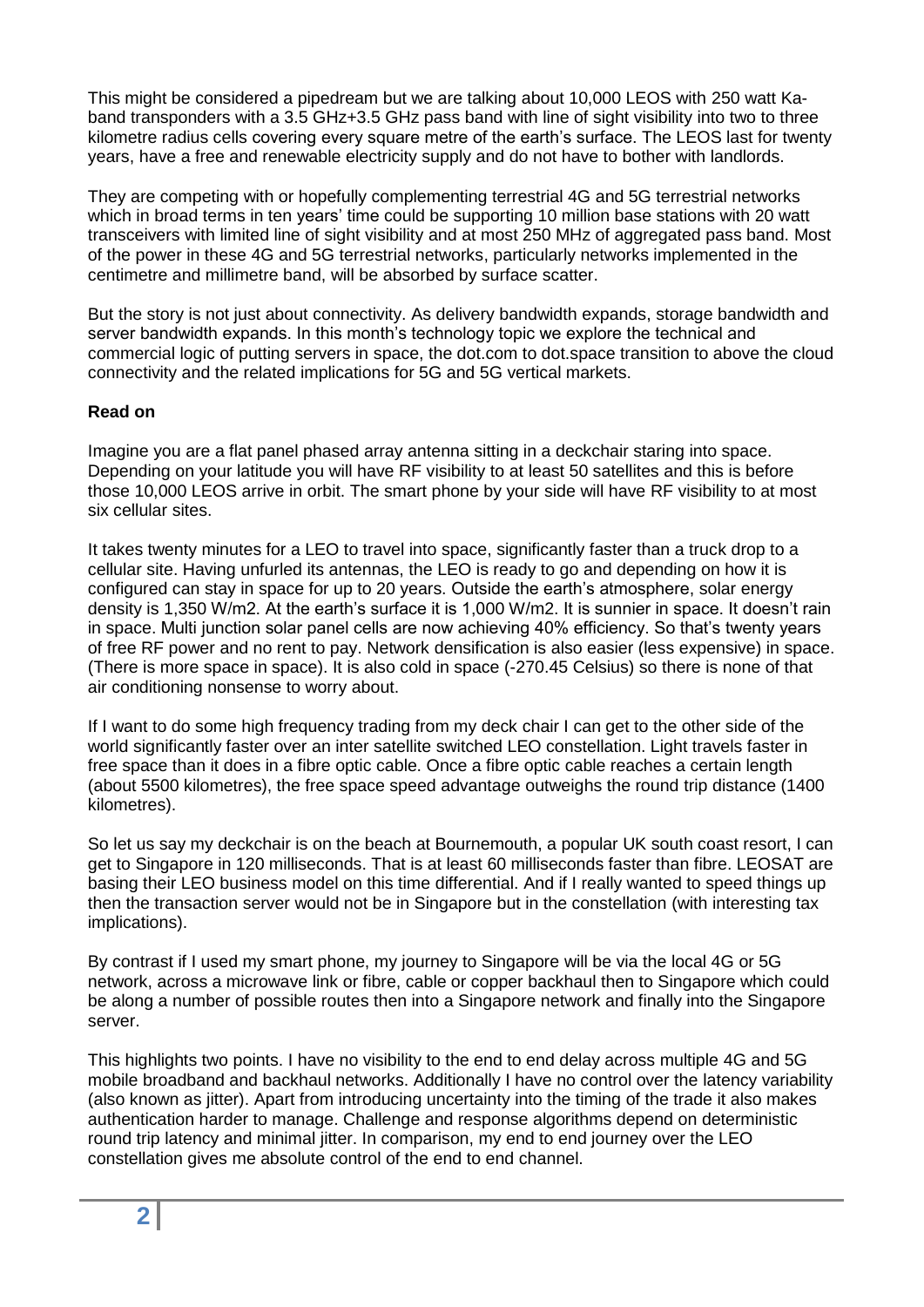This might be considered a pipedream but we are talking about 10,000 LEOS with 250 watt Kaband transponders with a 3.5 GHz+3.5 GHz pass band with line of sight visibility into two to three kilometre radius cells covering every square metre of the earth's surface. The LEOS last for twenty years, have a free and renewable electricity supply and do not have to bother with landlords.

They are competing with or hopefully complementing terrestrial 4G and 5G terrestrial networks which in broad terms in ten years' time could be supporting 10 million base stations with 20 watt transceivers with limited line of sight visibility and at most 250 MHz of aggregated pass band. Most of the power in these 4G and 5G terrestrial networks, particularly networks implemented in the centimetre and millimetre band, will be absorbed by surface scatter.

But the story is not just about connectivity. As delivery bandwidth expands, storage bandwidth and server bandwidth expands. In this month's technology topic we explore the technical and commercial logic of putting servers in space, the dot.com to dot.space transition to above the cloud connectivity and the related implications for 5G and 5G vertical markets.

#### **Read on**

Imagine you are a flat panel phased array antenna sitting in a deckchair staring into space. Depending on your latitude you will have RF visibility to at least 50 satellites and this is before those 10,000 LEOS arrive in orbit. The smart phone by your side will have RF visibility to at most six cellular sites.

It takes twenty minutes for a LEO to travel into space, significantly faster than a truck drop to a cellular site. Having unfurled its antennas, the LEO is ready to go and depending on how it is configured can stay in space for up to 20 years. Outside the earth's atmosphere, solar energy density is 1,350 W/m2. At the earth's surface it is 1,000 W/m2. It is sunnier in space. It doesn't rain in space. Multi junction solar panel cells are now achieving 40% efficiency. So that's twenty years of free RF power and no rent to pay. Network densification is also easier (less expensive) in space. (There is more space in space). It is also cold in space (-270.45 Celsius) so there is none of that air conditioning nonsense to worry about.

If I want to do some high frequency trading from my deck chair I can get to the other side of the world significantly faster over an inter satellite switched LEO constellation. Light travels faster in free space than it does in a fibre optic cable. Once a fibre optic cable reaches a certain length (about 5500 kilometres), the free space speed advantage outweighs the round trip distance (1400 kilometres).

So let us say my deckchair is on the beach at Bournemouth, a popular UK south coast resort, I can get to Singapore in 120 milliseconds. That is at least 60 milliseconds faster than fibre. LEOSAT are basing their LEO business model on this time differential. And if I really wanted to speed things up then the transaction server would not be in Singapore but in the constellation (with interesting tax implications).

By contrast if I used my smart phone, my journey to Singapore will be via the local 4G or 5G network, across a microwave link or fibre, cable or copper backhaul then to Singapore which could be along a number of possible routes then into a Singapore network and finally into the Singapore server.

This highlights two points. I have no visibility to the end to end delay across multiple 4G and 5G mobile broadband and backhaul networks. Additionally I have no control over the latency variability (also known as jitter). Apart from introducing uncertainty into the timing of the trade it also makes authentication harder to manage. Challenge and response algorithms depend on deterministic round trip latency and minimal jitter. In comparison, my end to end journey over the LEO constellation gives me absolute control of the end to end channel.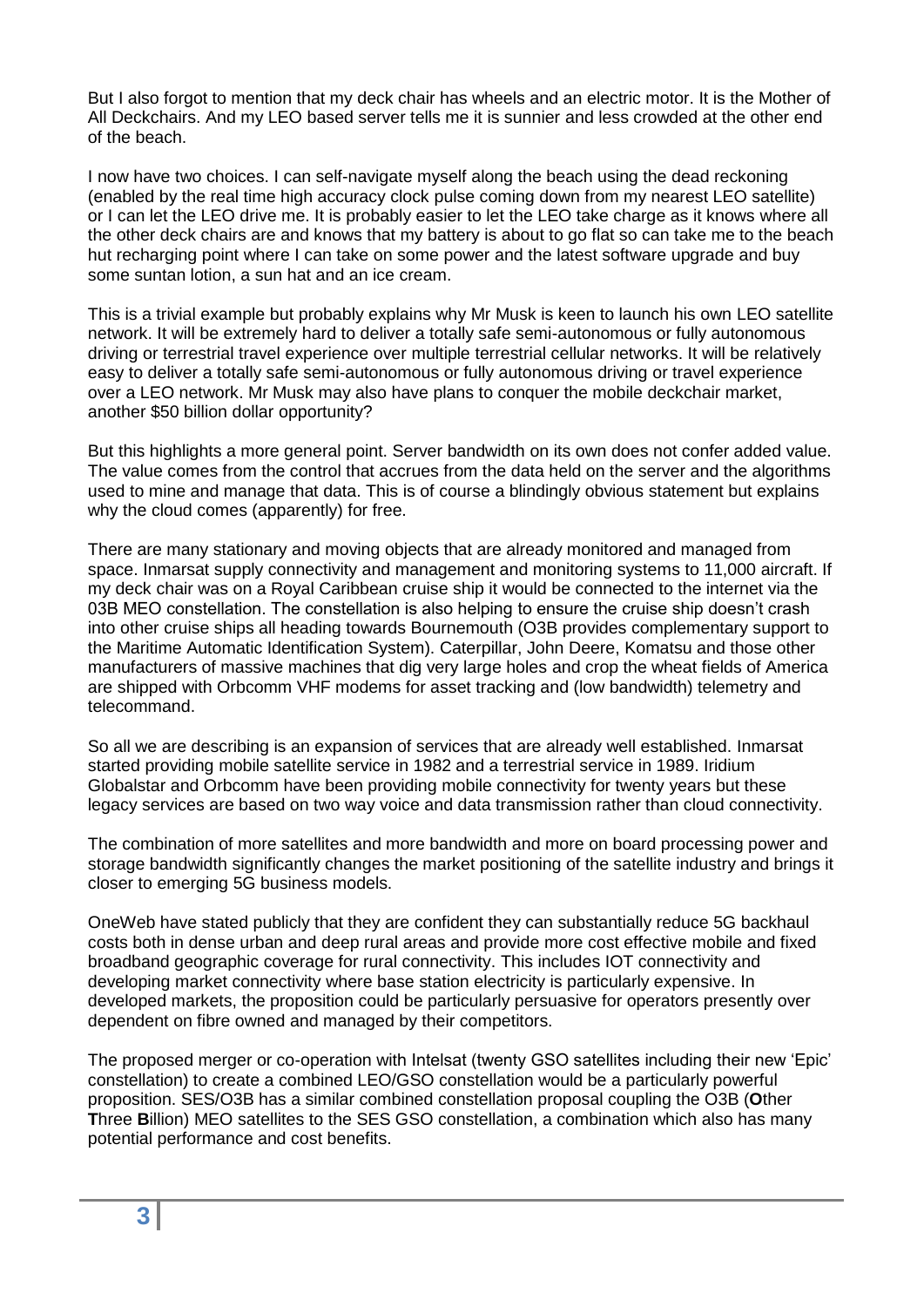But I also forgot to mention that my deck chair has wheels and an electric motor. It is the Mother of All Deckchairs. And my LEO based server tells me it is sunnier and less crowded at the other end of the beach.

I now have two choices. I can self-navigate myself along the beach using the dead reckoning (enabled by the real time high accuracy clock pulse coming down from my nearest LEO satellite) or I can let the LEO drive me. It is probably easier to let the LEO take charge as it knows where all the other deck chairs are and knows that my battery is about to go flat so can take me to the beach hut recharging point where I can take on some power and the latest software upgrade and buy some suntan lotion, a sun hat and an ice cream.

This is a trivial example but probably explains why Mr Musk is keen to launch his own LEO satellite network. It will be extremely hard to deliver a totally safe semi-autonomous or fully autonomous driving or terrestrial travel experience over multiple terrestrial cellular networks. It will be relatively easy to deliver a totally safe semi-autonomous or fully autonomous driving or travel experience over a LEO network. Mr Musk may also have plans to conquer the mobile deckchair market, another \$50 billion dollar opportunity?

But this highlights a more general point. Server bandwidth on its own does not confer added value. The value comes from the control that accrues from the data held on the server and the algorithms used to mine and manage that data. This is of course a blindingly obvious statement but explains why the cloud comes (apparently) for free.

There are many stationary and moving objects that are already monitored and managed from space. Inmarsat supply connectivity and management and monitoring systems to 11,000 aircraft. If my deck chair was on a Royal Caribbean cruise ship it would be connected to the internet via the 03B MEO constellation. The constellation is also helping to ensure the cruise ship doesn't crash into other cruise ships all heading towards Bournemouth (O3B provides complementary support to the Maritime Automatic Identification System). Caterpillar, John Deere, Komatsu and those other manufacturers of massive machines that dig very large holes and crop the wheat fields of America are shipped with Orbcomm VHF modems for asset tracking and (low bandwidth) telemetry and telecommand.

So all we are describing is an expansion of services that are already well established. Inmarsat started providing mobile satellite service in 1982 and a terrestrial service in 1989. Iridium Globalstar and Orbcomm have been providing mobile connectivity for twenty years but these legacy services are based on two way voice and data transmission rather than cloud connectivity.

The combination of more satellites and more bandwidth and more on board processing power and storage bandwidth significantly changes the market positioning of the satellite industry and brings it closer to emerging 5G business models.

OneWeb have stated publicly that they are confident they can substantially reduce 5G backhaul costs both in dense urban and deep rural areas and provide more cost effective mobile and fixed broadband geographic coverage for rural connectivity. This includes IOT connectivity and developing market connectivity where base station electricity is particularly expensive. In developed markets, the proposition could be particularly persuasive for operators presently over dependent on fibre owned and managed by their competitors.

The proposed merger or co-operation with Intelsat (twenty GSO satellites including their new 'Epic' constellation) to create a combined LEO/GSO constellation would be a particularly powerful proposition. SES/O3B has a similar combined constellation proposal coupling the O3B (**O**ther **T**hree **B**illion) MEO satellites to the SES GSO constellation, a combination which also has many potential performance and cost benefits.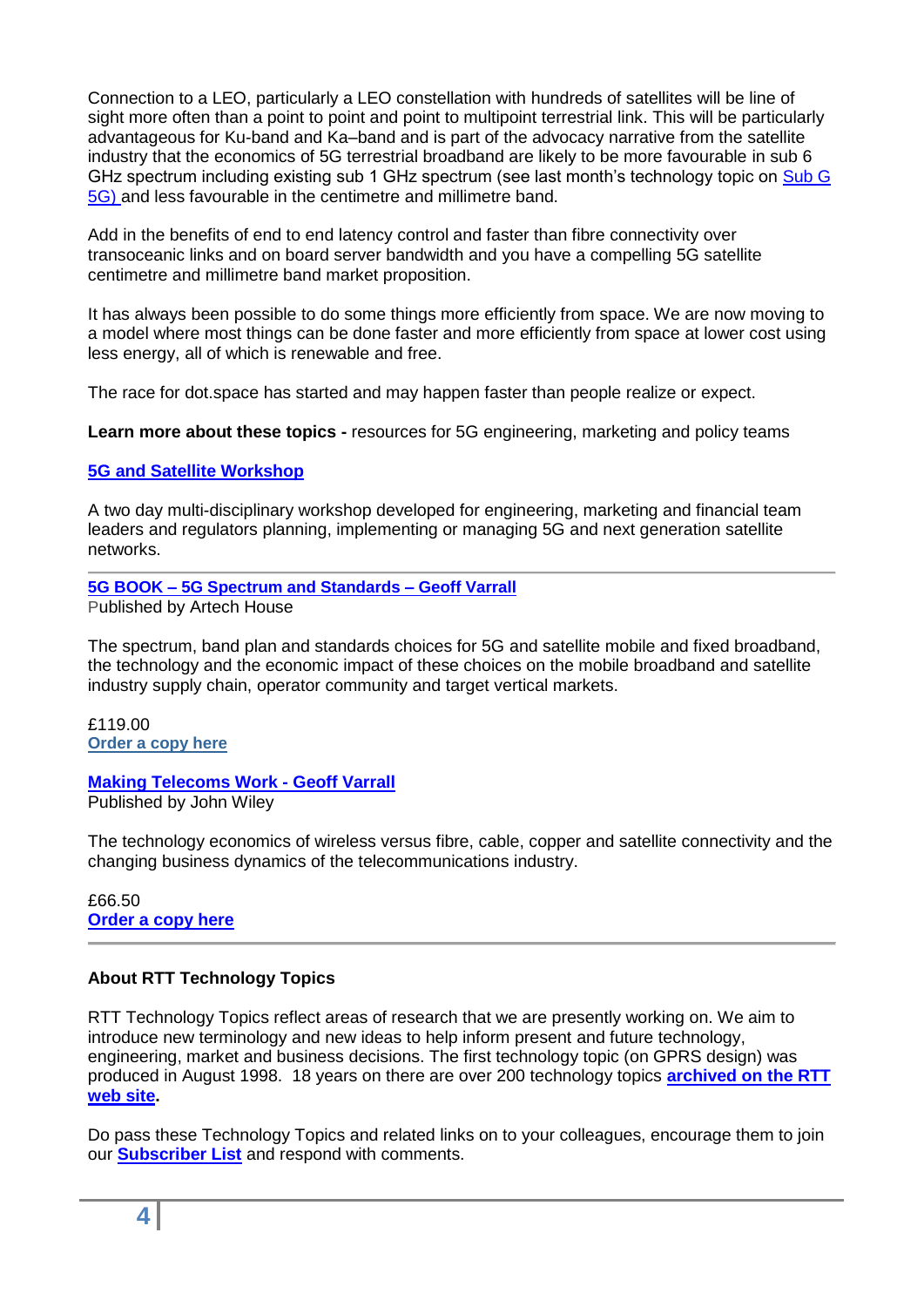Connection to a LEO, particularly a LEO constellation with hundreds of satellites will be line of sight more often than a point to point and point to multipoint terrestrial link. This will be particularly advantageous for Ku-band and Ka–band and is part of the advocacy narrative from the satellite industry that the economics of 5G terrestrial broadband are likely to be more favourable in sub 6 GHz spectrum including existing sub 1 GHz spectrum (see last month's technology topic on Sub G [5G\)](http://www.rttonline.com/sitemap.html) and less favourable in the centimetre and millimetre band.

Add in the benefits of end to end latency control and faster than fibre connectivity over transoceanic links and on board server bandwidth and you have a compelling 5G satellite centimetre and millimetre band market proposition.

It has always been possible to do some things more efficiently from space. We are now moving to a model where most things can be done faster and more efficiently from space at lower cost using less energy, all of which is renewable and free.

The race for dot.space has started and may happen faster than people realize or expect.

**Learn more about these topics -** resources for 5G engineering, marketing and policy teams

#### **[5G and Satellite Workshop](http://www.rttonline.com/5G%20workshop.html)**

A two day multi-disciplinary workshop developed for engineering, marketing and financial team leaders and regulators planning, implementing or managing 5G and next generation satellite networks.

**5G BOOK – [5G Spectrum and Standards –](http://uk.artechhouse.com/5G-Spectrum-and-Standards-P1805.aspx) Geoff Varrall**

Published by Artech House

The spectrum, band plan and standards choices for 5G and satellite mobile and fixed broadband, the technology and the economic impact of these choices on the mobile broadband and satellite industry supply chain, operator community and target vertical markets.

£119.00 **[Order a copy here](http://uk.artechhouse.com/5G-Spectrum-and-Standards-P1805.aspx)**

### **[Making Telecoms Work -](http://eu.wiley.com/WileyCDA/WileyTitle/productCd-1119976413.html) Geoff Varrall**

Published by John Wiley

The technology economics of wireless versus fibre, cable, copper and satellite connectivity and the changing business dynamics of the telecommunications industry.

£66.50 **[Order a copy here](http://eu.wiley.com/WileyCDA/WileyTitle/productCd-1119976413.html)**

#### **About RTT Technology Topics**

RTT Technology Topics reflect areas of research that we are presently working on. We aim to introduce new terminology and new ideas to help inform present and future technology, engineering, market and business decisions. The first technology topic (on GPRS design) was produced in August 1998. 18 years on there are over 200 technology topics **[archived on the RTT](http://www.rttonline.com/sitemap.html)  [web site.](http://www.rttonline.com/sitemap.html)** 

Do pass these Technology Topics and related links on to your colleagues, encourage them to join our **[Subscriber List](mailto:geoff@rttonline.com?subject=Please%20put%20me%20on%20the%20RTT%20Push%20List)** and respond with comments.